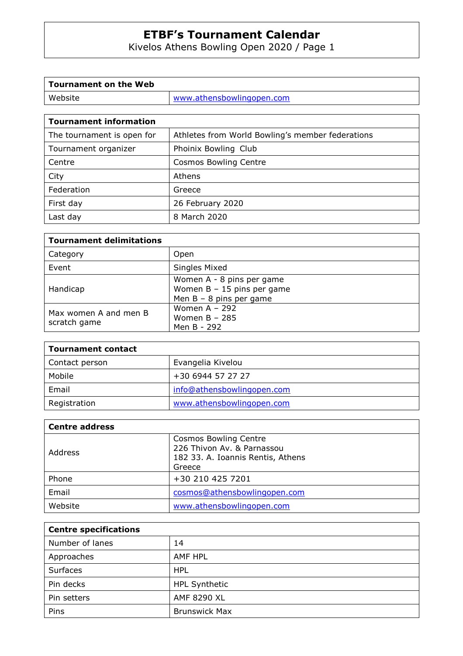Kivelos Athens Bowling Open 2020 / Page 1

| <b>Tournament on the Web</b> |                           |
|------------------------------|---------------------------|
| Website                      | www.athensbowlingopen.com |
|                              |                           |

| <b>Tournament information</b> |
|-------------------------------|
|-------------------------------|

| The tournament is open for | Athletes from World Bowling's member federations |
|----------------------------|--------------------------------------------------|
| Tournament organizer       | Phoinix Bowling Club                             |
| Centre                     | <b>Cosmos Bowling Centre</b>                     |
| City                       | Athens                                           |
| Federation                 | Greece                                           |
| First day                  | 26 February 2020                                 |
| Last day                   | 8 March 2020                                     |

| <b>Tournament delimitations</b>       |                                                                                        |
|---------------------------------------|----------------------------------------------------------------------------------------|
| Category                              | Open                                                                                   |
| Event                                 | Singles Mixed                                                                          |
| Handicap                              | Women A - 8 pins per game<br>Women $B - 15$ pins per game<br>Men $B - 8$ pins per game |
| Max women A and men B<br>scratch game | Women $A - 292$<br>Women $B - 285$<br>Men B - 292                                      |

| <b>Tournament contact</b> |                            |
|---------------------------|----------------------------|
| Contact person            | Evangelia Kivelou          |
| Mobile                    | +30 6944 57 27 27          |
| Email                     | info@athensbowlingopen.com |
| Registration              | www.athensbowlingopen.com  |

| <b>Centre address</b> |                                                                                                           |
|-----------------------|-----------------------------------------------------------------------------------------------------------|
| Address               | <b>Cosmos Bowling Centre</b><br>226 Thivon Av. & Parnassou<br>182 33. A. Ioannis Rentis, Athens<br>Greece |
| Phone                 | +30 210 425 7201                                                                                          |
| Email                 | cosmos@athensbowlingopen.com                                                                              |
| Website               | www.athensbowlingopen.com                                                                                 |

| <b>Centre specifications</b> |                      |
|------------------------------|----------------------|
| Number of lanes              | 14                   |
| Approaches                   | AMF HPL              |
| Surfaces                     | <b>HPL</b>           |
| Pin decks                    | <b>HPL Synthetic</b> |
| Pin setters                  | AMF 8290 XL          |
| Pins                         | <b>Brunswick Max</b> |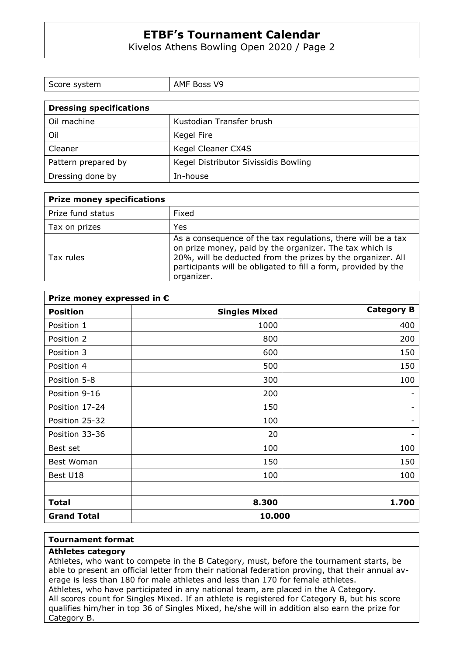Kivelos Athens Bowling Open 2020 / Page 2

| Score system            | AMF Boss V9 |
|-------------------------|-------------|
|                         |             |
| Dressing specifications |             |

| Oil machine         | Kustodian Transfer brush             |
|---------------------|--------------------------------------|
| Oil                 | Kegel Fire                           |
| Cleaner             | Kegel Cleaner CX4S                   |
| Pattern prepared by | Kegel Distributor Sivissidis Bowling |
| Dressing done by    | In-house                             |

| <b>Prize money specifications</b> |                                                                                                                                                                                                                                                                        |
|-----------------------------------|------------------------------------------------------------------------------------------------------------------------------------------------------------------------------------------------------------------------------------------------------------------------|
| Prize fund status                 | Fixed                                                                                                                                                                                                                                                                  |
| Tax on prizes                     | Yes                                                                                                                                                                                                                                                                    |
| Tax rules                         | As a consequence of the tax regulations, there will be a tax<br>on prize money, paid by the organizer. The tax which is<br>20%, will be deducted from the prizes by the organizer. All<br>participants will be obligated to fill a form, provided by the<br>organizer. |

| Prize money expressed in € |                      |                   |
|----------------------------|----------------------|-------------------|
| <b>Position</b>            | <b>Singles Mixed</b> | <b>Category B</b> |
| Position 1                 | 1000                 | 400               |
| Position 2                 | 800                  | 200               |
| Position 3                 | 600                  | 150               |
| Position 4                 | 500                  | 150               |
| Position 5-8               | 300                  | 100               |
| Position 9-16              | 200                  |                   |
| Position 17-24             | 150                  |                   |
| Position 25-32             | 100                  |                   |
| Position 33-36             | 20                   |                   |
| Best set                   | 100                  | 100               |
| Best Woman                 | 150                  | 150               |
| Best U18                   | 100                  | 100               |
|                            |                      |                   |
| <b>Total</b>               | 8.300                | 1.700             |
| <b>Grand Total</b>         | 10.000               |                   |

#### **Tournament format**

# **Athletes category**

Athletes, who want to compete in the B Category, must, before the tournament starts, be able to present an official letter from their national federation proving, that their annual average is less than 180 for male athletes and less than 170 for female athletes. Athletes, who have participated in any national team, are placed in the A Category. All scores count for Singles Mixed. If an athlete is registered for Category B, but his score qualifies him/her in top 36 of Singles Mixed, he/she will in addition also earn the prize for Category B.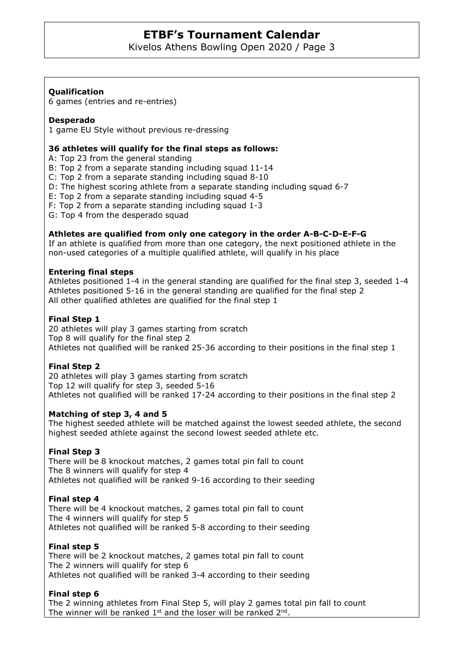Kivelos Athens Bowling Open 2020 / Page 3

# **Qualification**

6 games (entries and re-entries)

### **Desperado**

1 game EU Style without previous re-dressing

#### **36 athletes will qualify for the final steps as follows:**

A: Top 23 from the general standing

B: Top 2 from a separate standing including squad 11-14

C: Top 2 from a separate standing including squad 8-10

D: The highest scoring athlete from a separate standing including squad 6-7

E: Top 2 from a separate standing including squad 4-5

F: Top 2 from a separate standing including squad 1-3

G: Top 4 from the desperado squad

### **Athletes are qualified from only one category in the order A-B-C-D-E-F-G**

If an athlete is qualified from more than one category, the next positioned athlete in the non-used categories of a multiple qualified athlete, will qualify in his place

### **Entering final steps**

Athletes positioned 1-4 in the general standing are qualified for the final step 3, seeded 1-4 Athletes positioned 5-16 in the general standing are qualified for the final step 2 All other qualified athletes are qualified for the final step 1

### **Final Step 1**

20 athletes will play 3 games starting from scratch Top 8 will qualify for the final step 2 Athletes not qualified will be ranked 25-36 according to their positions in the final step 1

# **Final Step 2**

20 athletes will play 3 games starting from scratch Top 12 will qualify for step 3, seeded 5-16 Athletes not qualified will be ranked 17-24 according to their positions in the final step 2

#### **Matching of step 3, 4 and 5**

The highest seeded athlete will be matched against the lowest seeded athlete, the second highest seeded athlete against the second lowest seeded athlete etc.

# **Final Step 3**

There will be 8 knockout matches, 2 games total pin fall to count The 8 winners will qualify for step 4 Athletes not qualified will be ranked 9-16 according to their seeding

# **Final step 4**

There will be 4 knockout matches, 2 games total pin fall to count The 4 winners will qualify for step 5 Athletes not qualified will be ranked 5-8 according to their seeding

# **Final step 5**

There will be 2 knockout matches, 2 games total pin fall to count The 2 winners will qualify for step 6 Athletes not qualified will be ranked 3-4 according to their seeding

# **Final step 6**

The 2 winning athletes from Final Step 5, will play 2 games total pin fall to count The winner will be ranked  $1<sup>st</sup>$  and the loser will be ranked  $2<sup>nd</sup>$ .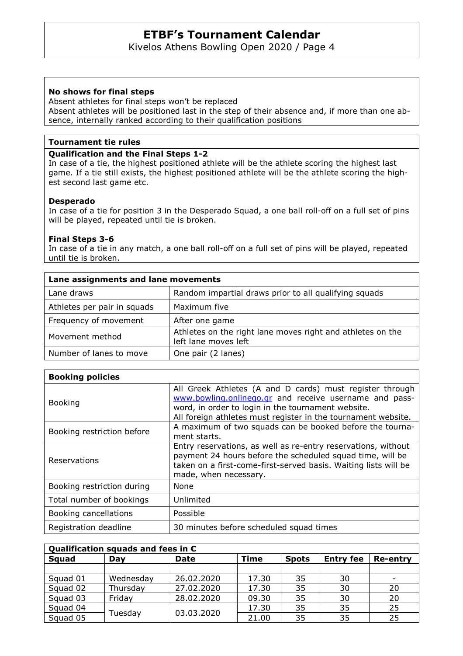Kivelos Athens Bowling Open 2020 / Page 4

### **No shows for final steps**

Absent athletes for final steps won't be replaced Absent athletes will be positioned last in the step of their absence and, if more than one absence, internally ranked according to their qualification positions

#### **Tournament tie rules**

### **Qualification and the Final Steps 1-2**

In case of a tie, the highest positioned athlete will be the athlete scoring the highest last game. If a tie still exists, the highest positioned athlete will be the athlete scoring the highest second last game etc.

### **Desperado**

In case of a tie for position 3 in the Desperado Squad, a one ball roll-off on a full set of pins will be played, repeated until tie is broken.

### **Final Steps 3-6**

In case of a tie in any match, a one ball roll-off on a full set of pins will be played, repeated until tie is broken.

| Lane assignments and lane movements |                                                                                    |  |
|-------------------------------------|------------------------------------------------------------------------------------|--|
| Lane draws                          | Random impartial draws prior to all qualifying squads                              |  |
| Athletes per pair in squads         | Maximum five                                                                       |  |
| Frequency of movement               | After one game                                                                     |  |
| Movement method                     | Athletes on the right lane moves right and athletes on the<br>left lane moves left |  |
| Number of lanes to move             | One pair (2 lanes)                                                                 |  |

| <b>Booking policies</b>    |                                                                                                                                                                                                                                           |
|----------------------------|-------------------------------------------------------------------------------------------------------------------------------------------------------------------------------------------------------------------------------------------|
| <b>Booking</b>             | All Greek Athletes (A and D cards) must register through<br>www.bowling.onlinego.gr and receive username and pass-<br>word, in order to login in the tournament website.<br>All foreign athletes must register in the tournament website. |
| Booking restriction before | A maximum of two squads can be booked before the tourna-<br>ment starts.                                                                                                                                                                  |
| Reservations               | Entry reservations, as well as re-entry reservations, without<br>payment 24 hours before the scheduled squad time, will be<br>taken on a first-come-first-served basis. Waiting lists will be<br>made, when necessary.                    |
| Booking restriction during | None                                                                                                                                                                                                                                      |
| Total number of bookings   | Unlimited                                                                                                                                                                                                                                 |
| Booking cancellations      | Possible                                                                                                                                                                                                                                  |
| Registration deadline      | 30 minutes before scheduled squad times                                                                                                                                                                                                   |

| Qualification squads and fees in $\epsilon$ |           |             |             |              |                  |                 |  |  |  |
|---------------------------------------------|-----------|-------------|-------------|--------------|------------------|-----------------|--|--|--|
| Squad                                       | Day       | <b>Date</b> | <b>Time</b> | <b>Spots</b> | <b>Entry fee</b> | <b>Re-entry</b> |  |  |  |
|                                             |           |             |             |              |                  |                 |  |  |  |
| Squad 01                                    | Wednesday | 26,02,2020  | 17.30       | 35           | 30               |                 |  |  |  |
| Squad 02                                    | Thursday  | 27.02.2020  | 17.30       | 35           | 30               | 20              |  |  |  |
| Squad 03                                    | Friday    | 28.02.2020  | 09.30       | 35           | 30               | 20              |  |  |  |
| Squad 04                                    | Tuesday   | 03.03.2020  | 17.30       | 35           | 35               | 25              |  |  |  |
| Squad 05                                    |           |             | 21.00       | 35           | 35               | 25              |  |  |  |